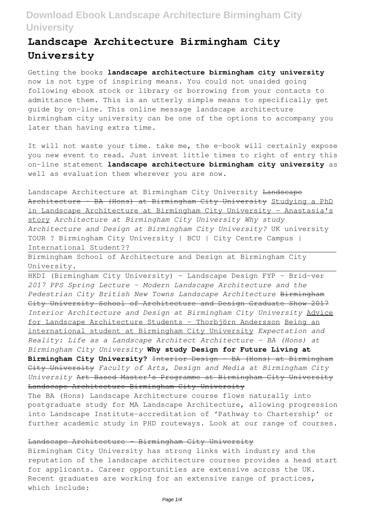# **Landscape Architecture Birmingham City University**

Getting the books **landscape architecture birmingham city university** now is not type of inspiring means. You could not unaided going following ebook stock or library or borrowing from your contacts to admittance them. This is an utterly simple means to specifically get guide by on-line. This online message landscape architecture birmingham city university can be one of the options to accompany you later than having extra time.

It will not waste your time. take me, the e-book will certainly expose you new event to read. Just invest little times to right of entry this on-line statement **landscape architecture birmingham city university** as well as evaluation them wherever you are now.

Landscape Architecture at Birmingham City University Landscape Architecture - BA (Hons) at Birmingham City University Studying a PhD in Landscape Architecture at Birmingham City University - Anastasia's story *Architecture at Birmingham City University Why study Architecture and Design at Birmingham City University?* UK university TOUR ? Birmingham City University | BCU | City Centre Campus | International Student??

Birmingham School of Architecture and Design at Birmingham City University.

HKDI (Birmingham City University) - Landscape Design FYP - Brid-ver *2017 PPS Spring Lecture - Modern Landscape Architecture and the Pedestrian City British New Towns Landscape Architecture* Birmingham City University School of Architecture and Design Graduate Show 2017 *Interior Architecture and Design at Birmingham City University* Advice for Landscape Architecture Students - Thorbjörn Andersson Being an international student at Birmingham City University *Expectation and Reality: Life as a Landscape Architect Architecture - BA (Hons) at Birmingham City University* **Why study Design for Future Living at Birmingham City University?** Interior Design - BA (Hons) at Birmingham City University *Faculty of Arts, Design and Media at Birmingham City University* Art Based Master's Programme at Birmingham City University Landscape Architecture Birmingham City University

The BA (Hons) Landscape Architecture course flows naturally into postgraduate study for MA Landscape Architecture, allowing progression into Landscape Institute-accreditation of 'Pathway to Chartership' or further academic study in PHD routeways. Look at our range of courses.

## Landscape Architecture - Birmingham City University

Birmingham City University has strong links with industry and the reputation of the landscape architecture courses provides a head start for applicants. Career opportunities are extensive across the UK. Recent graduates are working for an extensive range of practices, which include: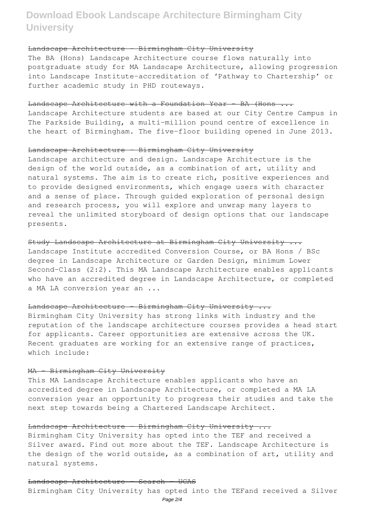## Landscape Architecture - Birmingham City University

The BA (Hons) Landscape Architecture course flows naturally into postgraduate study for MA Landscape Architecture, allowing progression into Landscape Institute-accreditation of 'Pathway to Chartership' or further academic study in PHD routeways.

### Landscape Architecture with a Foundation Year - BA (Hons ...

Landscape Architecture students are based at our City Centre Campus in The Parkside Building, a multi-million pound centre of excellence in the heart of Birmingham. The five-floor building opened in June 2013.

#### Landscape Architecture - Birmingham City University

Landscape architecture and design. Landscape Architecture is the design of the world outside, as a combination of art, utility and natural systems. The aim is to create rich, positive experiences and to provide designed environments, which engage users with character and a sense of place. Through guided exploration of personal design and research process, you will explore and unwrap many layers to reveal the unlimited storyboard of design options that our landscape presents.

Study Landscape Architecture at Birmingham City University ... Landscape Institute accredited Conversion Course, or BA Hons / BSc degree in Landscape Architecture or Garden Design, minimum Lower Second-Class (2:2). This MA Landscape Architecture enables applicants who have an accredited degree in Landscape Architecture, or completed a MA LA conversion year an ...

## Landscape Architecture - Birmingham City University ...

Birmingham City University has strong links with industry and the reputation of the landscape architecture courses provides a head start for applicants. Career opportunities are extensive across the UK. Recent graduates are working for an extensive range of practices, which include:

### MA - Birmingham City University

This MA Landscape Architecture enables applicants who have an accredited degree in Landscape Architecture, or completed a MA LA conversion year an opportunity to progress their studies and take the next step towards being a Chartered Landscape Architect.

## Landscape Architecture - Birmingham City University ...

Birmingham City University has opted into the TEF and received a Silver award. Find out more about the TEF. Landscape Architecture is the design of the world outside, as a combination of art, utility and natural systems.

## Landscape Architecture - Search - UCAS

Birmingham City University has opted into the TEFand received a Silver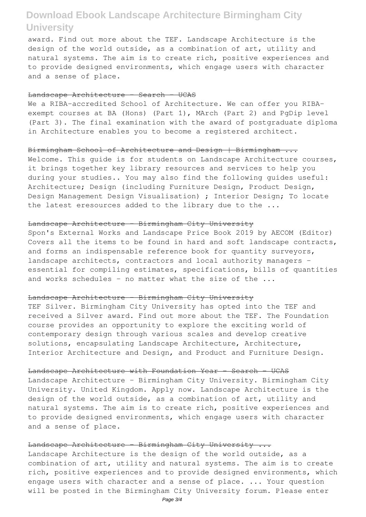award. Find out more about the TEF. Landscape Architecture is the design of the world outside, as a combination of art, utility and natural systems. The aim is to create rich, positive experiences and to provide designed environments, which engage users with character and a sense of place.

## Landscape Architecture - Search - UCAS

We a RIBA-accredited School of Architecture. We can offer you RIBAexempt courses at BA (Hons) (Part 1), MArch (Part 2) and PgDip level (Part 3). The final examination with the award of postgraduate diploma in Architecture enables you to become a registered architect.

## Birmingham School of Architecture and Design | Birmingham ...

Welcome. This quide is for students on Landscape Architecture courses, it brings together key library resources and services to help you during your studies.. You may also find the following guides useful: Architecture; Design (including Furniture Design, Product Design, Design Management Design Visualisation) ; Interior Design; To locate the latest eresources added to the library due to the ...

### Landscape Architecture - Birmingham City University

Spon's External Works and Landscape Price Book 2019 by AECOM (Editor) Covers all the items to be found in hard and soft landscape contracts, and forms an indispensable reference book for quantity surveyors, landscape architects, contractors and local authority managers essential for compiling estimates, specifications, bills of quantities and works schedules - no matter what the size of the ...

### Landscape Architecture - Birmingham City University

TEF Silver. Birmingham City University has opted into the TEF and received a Silver award. Find out more about the TEF. The Foundation course provides an opportunity to explore the exciting world of contemporary design through various scales and develop creative solutions, encapsulating Landscape Architecture, Architecture, Interior Architecture and Design, and Product and Furniture Design.

#### Landscape Architecture with Foundation Year - Search - UCAS

Landscape Architecture - Birmingham City University. Birmingham City University. United Kingdom. Apply now. Landscape Architecture is the design of the world outside, as a combination of art, utility and natural systems. The aim is to create rich, positive experiences and to provide designed environments, which engage users with character and a sense of place.

## Landscape Architecture - Birmingham City University ...

Landscape Architecture is the design of the world outside, as a combination of art, utility and natural systems. The aim is to create rich, positive experiences and to provide designed environments, which engage users with character and a sense of place. ... Your question will be posted in the Birmingham City University forum. Please enter